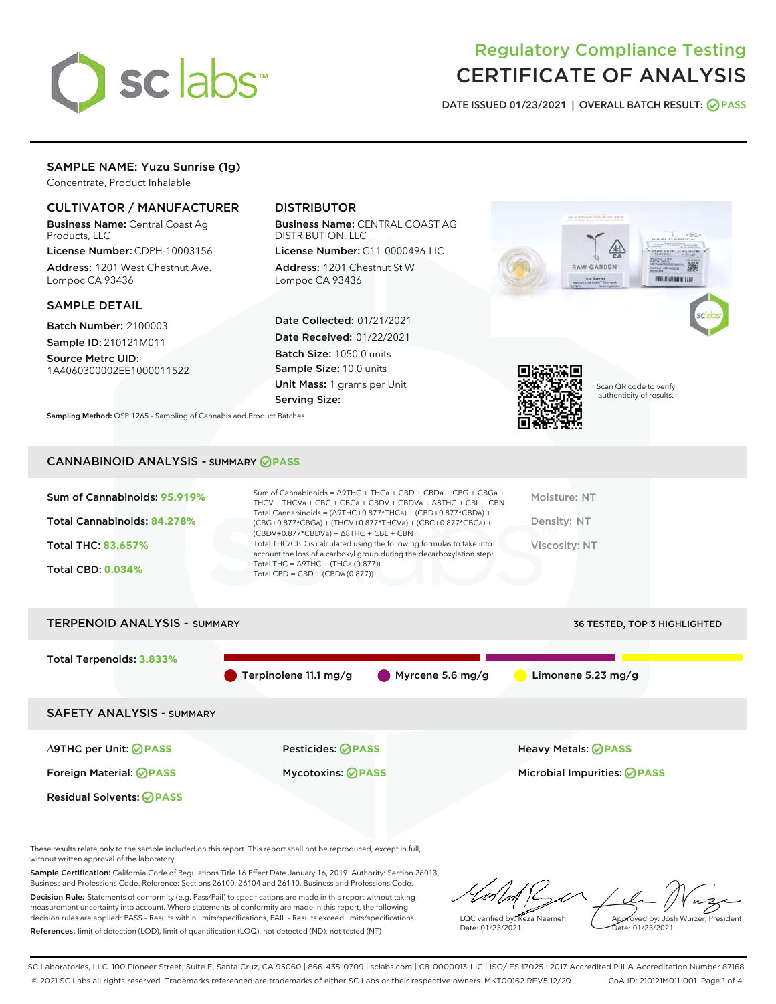

# Regulatory Compliance Testing CERTIFICATE OF ANALYSIS

DATE ISSUED 01/23/2021 | OVERALL BATCH RESULT: @ PASS

# SAMPLE NAME: Yuzu Sunrise (1g)

Concentrate, Product Inhalable

## CULTIVATOR / MANUFACTURER

Business Name: Central Coast Ag Products, LLC

License Number: CDPH-10003156 Address: 1201 West Chestnut Ave. Lompoc CA 93436

## SAMPLE DETAIL

Batch Number: 2100003 Sample ID: 210121M011

Source Metrc UID: 1A4060300002EE1000011522

## DISTRIBUTOR

Business Name: CENTRAL COAST AG DISTRIBUTION, LLC

License Number: C11-0000496-LIC Address: 1201 Chestnut St W Lompoc CA 93436

Date Collected: 01/21/2021 Date Received: 01/22/2021 Batch Size: 1050.0 units Sample Size: 10.0 units Unit Mass: 1 grams per Unit Serving Size:



Scan QR code to verify authenticity of results.

**THERMOMETER** 

Sampling Method: QSP 1265 - Sampling of Cannabis and Product Batches

## CANNABINOID ANALYSIS - SUMMARY **PASS**

| Sum of Cannabinoids: 95.919% | Sum of Cannabinoids = $\triangle$ 9THC + THCa + CBD + CBDa + CBG + CBGa +<br>THCV + THCVa + CBC + CBCa + CBDV + CBDVa + $\Delta$ 8THC + CBL + CBN                                    | Moisture: NT  |
|------------------------------|--------------------------------------------------------------------------------------------------------------------------------------------------------------------------------------|---------------|
| Total Cannabinoids: 84.278%  | Total Cannabinoids = $(\Delta$ 9THC+0.877*THCa) + (CBD+0.877*CBDa) +<br>(CBG+0.877*CBGa) + (THCV+0.877*THCVa) + (CBC+0.877*CBCa) +<br>$(CBDV+0.877*CBDVa) + \Delta 8THC + CBL + CBN$ | Density: NT   |
| Total THC: 83.657%           | Total THC/CBD is calculated using the following formulas to take into<br>account the loss of a carboxyl group during the decarboxylation step:                                       | Viscosity: NT |
| <b>Total CBD: 0.034%</b>     | Total THC = $\triangle$ 9THC + (THCa (0.877))<br>Total CBD = CBD + (CBDa $(0.877)$ )                                                                                                 |               |
|                              |                                                                                                                                                                                      |               |



These results relate only to the sample included on this report. This report shall not be reproduced, except in full, without written approval of the laboratory.

Sample Certification: California Code of Regulations Title 16 Effect Date January 16, 2019. Authority: Section 26013, Business and Professions Code. Reference: Sections 26100, 26104 and 26110, Business and Professions Code.

Decision Rule: Statements of conformity (e.g. Pass/Fail) to specifications are made in this report without taking measurement uncertainty into account. Where statements of conformity are made in this report, the following decision rules are applied: PASS – Results within limits/specifications, FAIL – Results exceed limits/specifications. References: limit of detection (LOD), limit of quantification (LOQ), not detected (ND), not tested (NT)

LQC verified by: Reza Naemeh Date: 01/23/2021 Approved by: Josh Wurzer, President Date: 01/23/2021

SC Laboratories, LLC. 100 Pioneer Street, Suite E, Santa Cruz, CA 95060 | 866-435-0709 | sclabs.com | C8-0000013-LIC | ISO/IES 17025 : 2017 Accredited PJLA Accreditation Number 87168 © 2021 SC Labs all rights reserved. Trademarks referenced are trademarks of either SC Labs or their respective owners. MKT00162 REV5 12/20 CoA ID: 210121M011-001 Page 1 of 4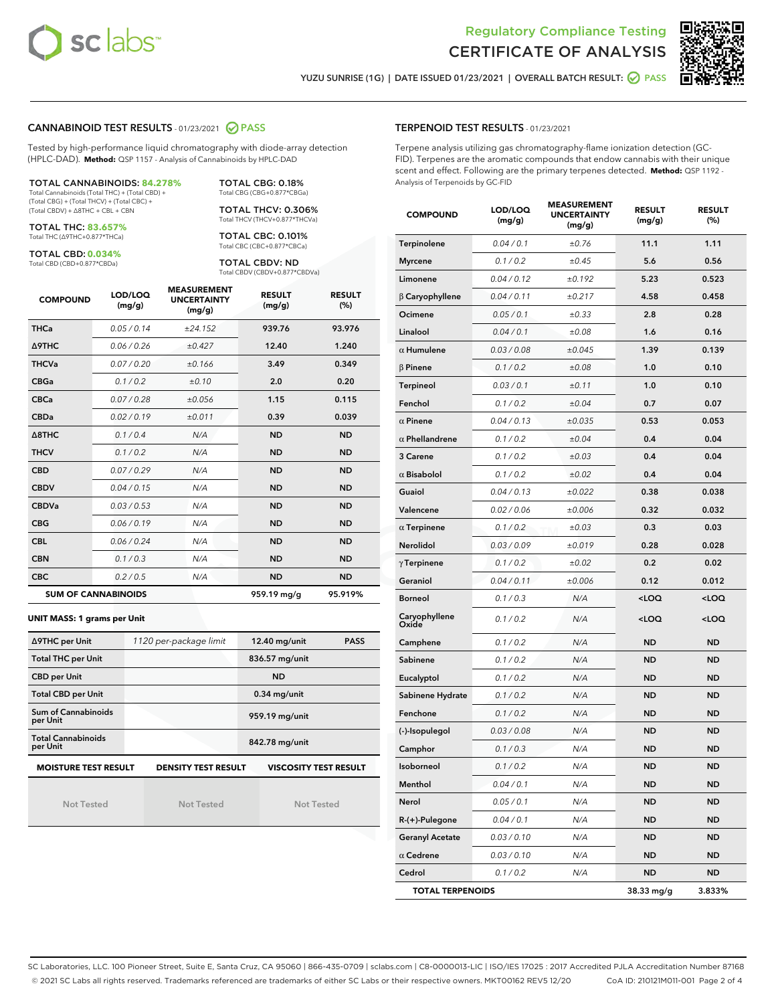



YUZU SUNRISE (1G) | DATE ISSUED 01/23/2021 | OVERALL BATCH RESULT: ◯ PASS

## CANNABINOID TEST RESULTS - 01/23/2021 2 PASS

Tested by high-performance liquid chromatography with diode-array detection (HPLC-DAD). **Method:** QSP 1157 - Analysis of Cannabinoids by HPLC-DAD

TOTAL CANNABINOIDS: **84.278%** Total Cannabinoids (Total THC) + (Total CBD) + (Total CBG) + (Total THCV) + (Total CBC) +

(Total CBDV) + ∆8THC + CBL + CBN

TOTAL THC: **83.657%** Total THC (∆9THC+0.877\*THCa)

TOTAL CBD: **0.034%**

Total CBD (CBD+0.877\*CBDa)

TOTAL CBG: 0.18% Total CBG (CBG+0.877\*CBGa) TOTAL THCV: 0.306%

Total THCV (THCV+0.877\*THCVa)

TOTAL CBC: 0.101% Total CBC (CBC+0.877\*CBCa)

TOTAL CBDV: ND Total CBDV (CBDV+0.877\*CBDVa)

| <b>COMPOUND</b> | LOD/LOQ<br>(mg/g)          | <b>MEASUREMENT</b><br><b>UNCERTAINTY</b><br>(mg/g) | <b>RESULT</b><br>(mg/g) | <b>RESULT</b><br>(%) |
|-----------------|----------------------------|----------------------------------------------------|-------------------------|----------------------|
| <b>THCa</b>     | 0.05/0.14                  | ±24.152                                            | 939.76                  | 93.976               |
| <b>A9THC</b>    | 0.06 / 0.26                | ±0.427                                             | 12.40                   | 1.240                |
| <b>THCVa</b>    | 0.07/0.20                  | ±0.166                                             | 3.49                    | 0.349                |
| <b>CBGa</b>     | 0.1/0.2                    | ±0.10                                              | 2.0                     | 0.20                 |
| <b>CBCa</b>     | 0.07/0.28                  | ±0.056                                             | 1.15                    | 0.115                |
| <b>CBDa</b>     | 0.02/0.19                  | ±0.011                                             | 0.39                    | 0.039                |
| A8THC           | 0.1/0.4                    | N/A                                                | <b>ND</b>               | <b>ND</b>            |
| <b>THCV</b>     | 0.1 / 0.2                  | N/A                                                | <b>ND</b>               | <b>ND</b>            |
| <b>CBD</b>      | 0.07/0.29                  | N/A                                                | <b>ND</b>               | <b>ND</b>            |
| <b>CBDV</b>     | 0.04 / 0.15                | N/A                                                | <b>ND</b>               | <b>ND</b>            |
| <b>CBDVa</b>    | 0.03/0.53                  | N/A                                                | <b>ND</b>               | <b>ND</b>            |
| <b>CBG</b>      | 0.06/0.19                  | N/A                                                | <b>ND</b>               | <b>ND</b>            |
| <b>CBL</b>      | 0.06 / 0.24                | N/A                                                | <b>ND</b>               | <b>ND</b>            |
| <b>CBN</b>      | 0.1/0.3                    | N/A                                                | <b>ND</b>               | <b>ND</b>            |
| <b>CBC</b>      | 0.2 / 0.5                  | N/A                                                | <b>ND</b>               | <b>ND</b>            |
|                 | <b>SUM OF CANNABINOIDS</b> |                                                    | 959.19 mg/g             | 95.919%              |

**UNIT MASS: 1 grams per Unit**

| ∆9THC per Unit                                                                            | 1120 per-package limit | $12.40$ mg/unit<br><b>PASS</b> |  |  |  |
|-------------------------------------------------------------------------------------------|------------------------|--------------------------------|--|--|--|
| <b>Total THC per Unit</b>                                                                 |                        | 836.57 mg/unit                 |  |  |  |
| <b>CBD per Unit</b>                                                                       |                        | <b>ND</b>                      |  |  |  |
| <b>Total CBD per Unit</b>                                                                 |                        | $0.34$ mg/unit                 |  |  |  |
| Sum of Cannabinoids<br>per Unit                                                           |                        | 959.19 mg/unit                 |  |  |  |
| <b>Total Cannabinoids</b><br>per Unit                                                     |                        | 842.78 mg/unit                 |  |  |  |
| <b>MOISTURE TEST RESULT</b><br><b>VISCOSITY TEST RESULT</b><br><b>DENSITY TEST RESULT</b> |                        |                                |  |  |  |

Not Tested

Not Tested

Not Tested

#### TERPENOID TEST RESULTS - 01/23/2021

Terpene analysis utilizing gas chromatography-flame ionization detection (GC-FID). Terpenes are the aromatic compounds that endow cannabis with their unique scent and effect. Following are the primary terpenes detected. **Method:** QSP 1192 - Analysis of Terpenoids by GC-FID

| <b>COMPOUND</b>         | LOD/LOQ<br>(mg/g) | <b>MEASUREMENT</b><br><b>UNCERTAINTY</b><br>(mg/g) | <b>RESULT</b><br>(mg/g)                         | <b>RESULT</b><br>$(\%)$ |
|-------------------------|-------------------|----------------------------------------------------|-------------------------------------------------|-------------------------|
| Terpinolene             | 0.04 / 0.1        | ±0.76                                              | 11.1                                            | 1.11                    |
| <b>Myrcene</b>          | 0.1 / 0.2         | ±0.45                                              | 5.6                                             | 0.56                    |
| Limonene                | 0.04 / 0.12       | ±0.192                                             | 5.23                                            | 0.523                   |
| $\beta$ Caryophyllene   | 0.04 / 0.11       | ±0.217                                             | 4.58                                            | 0.458                   |
| Ocimene                 | 0.05 / 0.1        | ±0.33                                              | 2.8                                             | 0.28                    |
| Linalool                | 0.04 / 0.1        | ±0.08                                              | 1.6                                             | 0.16                    |
| $\alpha$ Humulene       | 0.03 / 0.08       | ±0.045                                             | 1.39                                            | 0.139                   |
| <b>B</b> Pinene         | 0.1 / 0.2         | ±0.08                                              | 1.0                                             | 0.10                    |
| Terpineol               | 0.03 / 0.1        | ±0.11                                              | 1.0                                             | 0.10                    |
| Fenchol                 | 0.1 / 0.2         | ±0.04                                              | 0.7                                             | 0.07                    |
| $\alpha$ Pinene         | 0.04 / 0.13       | ±0.035                                             | 0.53                                            | 0.053                   |
| $\alpha$ Phellandrene   | 0.1 / 0.2         | ±0.04                                              | 0.4                                             | 0.04                    |
| 3 Carene                | 0.1 / 0.2         | ±0.03                                              | 0.4                                             | 0.04                    |
| $\alpha$ Bisabolol      | 0.1 / 0.2         | ±0.02                                              | 0.4                                             | 0.04                    |
| Guaiol                  | 0.04 / 0.13       | ±0.022                                             | 0.38                                            | 0.038                   |
| Valencene               | 0.02 / 0.06       | ±0.006                                             | 0.32                                            | 0.032                   |
| $\alpha$ Terpinene      | 0.1 / 0.2         | ±0.03                                              | 0.3                                             | 0.03                    |
| Nerolidol               | 0.03 / 0.09       | ±0.019                                             | 0.28                                            | 0.028                   |
| $\gamma$ Terpinene      | 0.1 / 0.2         | ±0.02                                              | 0.2                                             | 0.02                    |
| Geraniol                | 0.04 / 0.11       | ±0.006                                             | 0.12                                            | 0.012                   |
| <b>Borneol</b>          | 0.1 / 0.3         | N/A                                                | <loq< th=""><th><loq< th=""></loq<></th></loq<> | <loq< th=""></loq<>     |
| Caryophyllene<br>Oxide  | 0.1 / 0.2         | N/A                                                | <loq< th=""><th><loq< th=""></loq<></th></loq<> | <loq< th=""></loq<>     |
| Camphene                | 0.1 / 0.2         | N/A                                                | <b>ND</b>                                       | <b>ND</b>               |
| Sabinene                | 0.1 / 0.2         | N/A                                                | <b>ND</b>                                       | <b>ND</b>               |
| Eucalyptol              | 0.1 / 0.2         | N/A                                                | <b>ND</b>                                       | <b>ND</b>               |
| Sabinene Hydrate        | 0.1 / 0.2         | N/A                                                | <b>ND</b>                                       | <b>ND</b>               |
| Fenchone                | 0.1 / 0.2         | N/A                                                | ND                                              | ND                      |
| (-)-Isopulegol          | 0.03 / 0.08       | N/A                                                | <b>ND</b>                                       | <b>ND</b>               |
| Camphor                 | 0.1 / 0.3         | N/A                                                | ND                                              | <b>ND</b>               |
| Isoborneol              | 0.1 / 0.2         | N/A                                                | <b>ND</b>                                       | <b>ND</b>               |
| Menthol                 | 0.04 / 0.1        | N/A                                                | ND                                              | ND                      |
| Nerol                   | 0.05 / 0.1        | N/A                                                | ND                                              | ND                      |
| $R-(+)$ -Pulegone       | 0.04 / 0.1        | N/A                                                | ND                                              | <b>ND</b>               |
| <b>Geranyl Acetate</b>  | 0.03 / 0.10       | N/A                                                | ND                                              | ND                      |
| $\alpha$ Cedrene        | 0.03 / 0.10       | N/A                                                | ND                                              | ND                      |
| Cedrol                  | 0.1 / 0.2         | N/A                                                | <b>ND</b>                                       | ND                      |
| <b>TOTAL TERPENOIDS</b> |                   |                                                    | 38.33 mg/g                                      | 3.833%                  |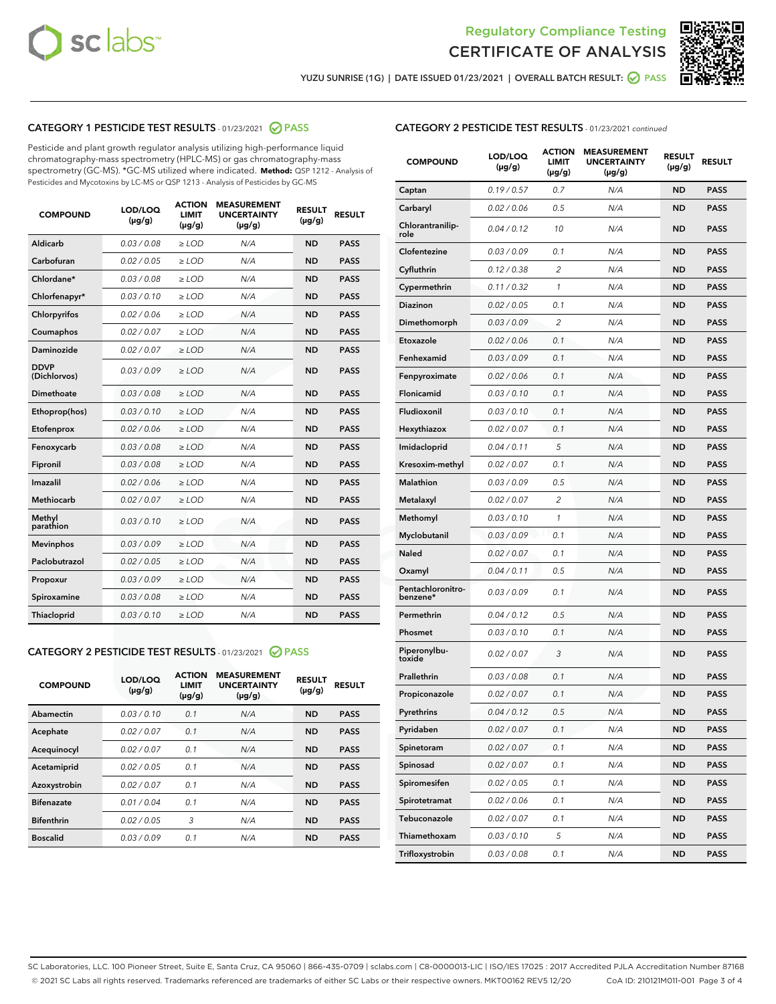



YUZU SUNRISE (1G) | DATE ISSUED 01/23/2021 | OVERALL BATCH RESULT: @ PASS

## CATEGORY 1 PESTICIDE TEST RESULTS - 01/23/2021 2 PASS

Pesticide and plant growth regulator analysis utilizing high-performance liquid chromatography-mass spectrometry (HPLC-MS) or gas chromatography-mass spectrometry (GC-MS). \*GC-MS utilized where indicated. **Method:** QSP 1212 - Analysis of Pesticides and Mycotoxins by LC-MS or QSP 1213 - Analysis of Pesticides by GC-MS

| <b>COMPOUND</b>             | LOD/LOQ<br>$(\mu g/g)$ | <b>ACTION</b><br><b>LIMIT</b><br>$(\mu q/q)$ | <b>MEASUREMENT</b><br><b>UNCERTAINTY</b><br>$(\mu g/g)$ | <b>RESULT</b><br>$(\mu g/g)$ | <b>RESULT</b> |
|-----------------------------|------------------------|----------------------------------------------|---------------------------------------------------------|------------------------------|---------------|
| Aldicarb                    | 0.03 / 0.08            | $\ge$ LOD                                    | N/A                                                     | <b>ND</b>                    | <b>PASS</b>   |
| Carbofuran                  | 0.02 / 0.05            | $\ge$ LOD                                    | N/A                                                     | <b>ND</b>                    | <b>PASS</b>   |
| Chlordane*                  | 0.03 / 0.08            | $\ge$ LOD                                    | N/A                                                     | <b>ND</b>                    | <b>PASS</b>   |
| Chlorfenapyr*               | 0.03/0.10              | $\ge$ LOD                                    | N/A                                                     | <b>ND</b>                    | <b>PASS</b>   |
| Chlorpyrifos                | 0.02 / 0.06            | $\ge$ LOD                                    | N/A                                                     | <b>ND</b>                    | <b>PASS</b>   |
| Coumaphos                   | 0.02 / 0.07            | $\ge$ LOD                                    | N/A                                                     | <b>ND</b>                    | <b>PASS</b>   |
| Daminozide                  | 0.02 / 0.07            | $\ge$ LOD                                    | N/A                                                     | <b>ND</b>                    | <b>PASS</b>   |
| <b>DDVP</b><br>(Dichlorvos) | 0.03/0.09              | $>$ LOD                                      | N/A                                                     | <b>ND</b>                    | <b>PASS</b>   |
| Dimethoate                  | 0.03 / 0.08            | $\ge$ LOD                                    | N/A                                                     | <b>ND</b>                    | <b>PASS</b>   |
| Ethoprop(hos)               | 0.03/0.10              | $\ge$ LOD                                    | N/A                                                     | <b>ND</b>                    | <b>PASS</b>   |
| Etofenprox                  | 0.02/0.06              | $>$ LOD                                      | N/A                                                     | <b>ND</b>                    | <b>PASS</b>   |
| Fenoxycarb                  | 0.03 / 0.08            | $\ge$ LOD                                    | N/A                                                     | <b>ND</b>                    | <b>PASS</b>   |
| Fipronil                    | 0.03/0.08              | $>$ LOD                                      | N/A                                                     | <b>ND</b>                    | <b>PASS</b>   |
| Imazalil                    | 0.02 / 0.06            | $\ge$ LOD                                    | N/A                                                     | <b>ND</b>                    | <b>PASS</b>   |
| Methiocarb                  | 0.02 / 0.07            | $\ge$ LOD                                    | N/A                                                     | <b>ND</b>                    | <b>PASS</b>   |
| Methyl<br>parathion         | 0.03/0.10              | $>$ LOD                                      | N/A                                                     | <b>ND</b>                    | <b>PASS</b>   |
| <b>Mevinphos</b>            | 0.03/0.09              | $>$ LOD                                      | N/A                                                     | <b>ND</b>                    | <b>PASS</b>   |
| Paclobutrazol               | 0.02 / 0.05            | $\ge$ LOD                                    | N/A                                                     | <b>ND</b>                    | <b>PASS</b>   |
| Propoxur                    | 0.03 / 0.09            | $\ge$ LOD                                    | N/A                                                     | <b>ND</b>                    | <b>PASS</b>   |
| Spiroxamine                 | 0.03 / 0.08            | $\ge$ LOD                                    | N/A                                                     | <b>ND</b>                    | <b>PASS</b>   |
| Thiacloprid                 | 0.03/0.10              | $\ge$ LOD                                    | N/A                                                     | <b>ND</b>                    | <b>PASS</b>   |

## CATEGORY 2 PESTICIDE TEST RESULTS - 01/23/2021 @ PASS

| Abamectin<br>0.03/0.10<br>0.1<br><b>ND</b><br>N/A<br><b>PASS</b><br>0.02/0.07<br>0.1<br>N/A<br><b>ND</b><br><b>PASS</b><br>Acephate |
|-------------------------------------------------------------------------------------------------------------------------------------|
|                                                                                                                                     |
|                                                                                                                                     |
| 0.02/0.07<br>0.1<br>N/A<br><b>ND</b><br><b>PASS</b><br>Acequinocyl                                                                  |
| 0.02/0.05<br>0.1<br>N/A<br><b>ND</b><br><b>PASS</b><br>Acetamiprid                                                                  |
| 0.02/0.07<br>Azoxystrobin<br>0.1<br>N/A<br><b>ND</b><br><b>PASS</b>                                                                 |
| 0.01/0.04<br><b>ND</b><br><b>Bifenazate</b><br>0.1<br>N/A<br><b>PASS</b>                                                            |
| <b>Bifenthrin</b><br>3<br>0.02/0.05<br>N/A<br><b>ND</b><br><b>PASS</b>                                                              |
| <b>Boscalid</b><br>0.03/0.09<br>0.1<br>N/A<br><b>ND</b><br><b>PASS</b>                                                              |

| <b>CATEGORY 2 PESTICIDE TEST RESULTS</b> - 01/23/2021 continued |
|-----------------------------------------------------------------|
|-----------------------------------------------------------------|

| <b>COMPOUND</b>               | LOD/LOQ<br>(µg/g) | <b>ACTION</b><br>LIMIT<br>$(\mu g/g)$ | <b>MEASUREMENT</b><br><b>UNCERTAINTY</b><br>$(\mu g/g)$ | <b>RESULT</b><br>(µg/g) | <b>RESULT</b> |
|-------------------------------|-------------------|---------------------------------------|---------------------------------------------------------|-------------------------|---------------|
| Captan                        | 0.19/0.57         | 0.7                                   | N/A                                                     | <b>ND</b>               | <b>PASS</b>   |
| Carbaryl                      | 0.02 / 0.06       | 0.5                                   | N/A                                                     | <b>ND</b>               | <b>PASS</b>   |
| Chlorantranilip-<br>role      | 0.04 / 0.12       | 10                                    | N/A                                                     | <b>ND</b>               | <b>PASS</b>   |
| Clofentezine                  | 0.03 / 0.09       | 0.1                                   | N/A                                                     | <b>ND</b>               | <b>PASS</b>   |
| Cyfluthrin                    | 0.12 / 0.38       | $\overline{2}$                        | N/A                                                     | <b>ND</b>               | <b>PASS</b>   |
| Cypermethrin                  | 0.11 / 0.32       | 1                                     | N/A                                                     | <b>ND</b>               | <b>PASS</b>   |
| <b>Diazinon</b>               | 0.02 / 0.05       | 0.1                                   | N/A                                                     | <b>ND</b>               | <b>PASS</b>   |
| Dimethomorph                  | 0.03 / 0.09       | 2                                     | N/A                                                     | <b>ND</b>               | <b>PASS</b>   |
| Etoxazole                     | 0.02 / 0.06       | 0.1                                   | N/A                                                     | <b>ND</b>               | <b>PASS</b>   |
| Fenhexamid                    | 0.03 / 0.09       | 0.1                                   | N/A                                                     | <b>ND</b>               | <b>PASS</b>   |
| Fenpyroximate                 | 0.02 / 0.06       | 0.1                                   | N/A                                                     | <b>ND</b>               | <b>PASS</b>   |
| Flonicamid                    | 0.03 / 0.10       | 0.1                                   | N/A                                                     | <b>ND</b>               | <b>PASS</b>   |
| Fludioxonil                   | 0.03 / 0.10       | 0.1                                   | N/A                                                     | <b>ND</b>               | <b>PASS</b>   |
| Hexythiazox                   | 0.02 / 0.07       | 0.1                                   | N/A                                                     | <b>ND</b>               | <b>PASS</b>   |
| Imidacloprid                  | 0.04 / 0.11       | 5                                     | N/A                                                     | <b>ND</b>               | <b>PASS</b>   |
| Kresoxim-methyl               | 0.02 / 0.07       | 0.1                                   | N/A                                                     | <b>ND</b>               | <b>PASS</b>   |
| Malathion                     | 0.03 / 0.09       | 0.5                                   | N/A                                                     | <b>ND</b>               | <b>PASS</b>   |
| Metalaxyl                     | 0.02 / 0.07       | 2                                     | N/A                                                     | <b>ND</b>               | <b>PASS</b>   |
| Methomyl                      | 0.03 / 0.10       | 1                                     | N/A                                                     | <b>ND</b>               | <b>PASS</b>   |
| Myclobutanil                  | 0.03 / 0.09       | 0.1                                   | N/A                                                     | <b>ND</b>               | <b>PASS</b>   |
| Naled                         | 0.02 / 0.07       | 0.1                                   | N/A                                                     | <b>ND</b>               | <b>PASS</b>   |
| Oxamyl                        | 0.04 / 0.11       | 0.5                                   | N/A                                                     | <b>ND</b>               | <b>PASS</b>   |
| Pentachloronitro-<br>benzene* | 0.03 / 0.09       | 0.1                                   | N/A                                                     | <b>ND</b>               | <b>PASS</b>   |
| Permethrin                    | 0.04 / 0.12       | 0.5                                   | N/A                                                     | <b>ND</b>               | <b>PASS</b>   |
| Phosmet                       | 0.03/0.10         | 0.1                                   | N/A                                                     | <b>ND</b>               | <b>PASS</b>   |
| Piperonylbu-<br>toxide        | 0.02 / 0.07       | 3                                     | N/A                                                     | <b>ND</b>               | <b>PASS</b>   |
| Prallethrin                   | 0.03 / 0.08       | 0.1                                   | N/A                                                     | <b>ND</b>               | <b>PASS</b>   |
| Propiconazole                 | 0.02 / 0.07       | 0.1                                   | N/A                                                     | <b>ND</b>               | <b>PASS</b>   |
| Pyrethrins                    | 0.04 / 0.12       | 0.5                                   | N/A                                                     | ND                      | PASS          |
| Pyridaben                     | 0.02 / 0.07       | 0.1                                   | N/A                                                     | <b>ND</b>               | <b>PASS</b>   |
| Spinetoram                    | 0.02 / 0.07       | 0.1                                   | N/A                                                     | <b>ND</b>               | <b>PASS</b>   |
| Spinosad                      | 0.02 / 0.07       | 0.1                                   | N/A                                                     | <b>ND</b>               | <b>PASS</b>   |
| Spiromesifen                  | 0.02 / 0.05       | 0.1                                   | N/A                                                     | <b>ND</b>               | <b>PASS</b>   |
| Spirotetramat                 | 0.02 / 0.06       | 0.1                                   | N/A                                                     | <b>ND</b>               | <b>PASS</b>   |
| Tebuconazole                  | 0.02 / 0.07       | 0.1                                   | N/A                                                     | <b>ND</b>               | <b>PASS</b>   |
| Thiamethoxam                  | 0.03 / 0.10       | 5                                     | N/A                                                     | <b>ND</b>               | <b>PASS</b>   |
| Trifloxystrobin               | 0.03 / 0.08       | 0.1                                   | N/A                                                     | <b>ND</b>               | <b>PASS</b>   |

SC Laboratories, LLC. 100 Pioneer Street, Suite E, Santa Cruz, CA 95060 | 866-435-0709 | sclabs.com | C8-0000013-LIC | ISO/IES 17025 : 2017 Accredited PJLA Accreditation Number 87168 © 2021 SC Labs all rights reserved. Trademarks referenced are trademarks of either SC Labs or their respective owners. MKT00162 REV5 12/20 CoA ID: 210121M011-001 Page 3 of 4